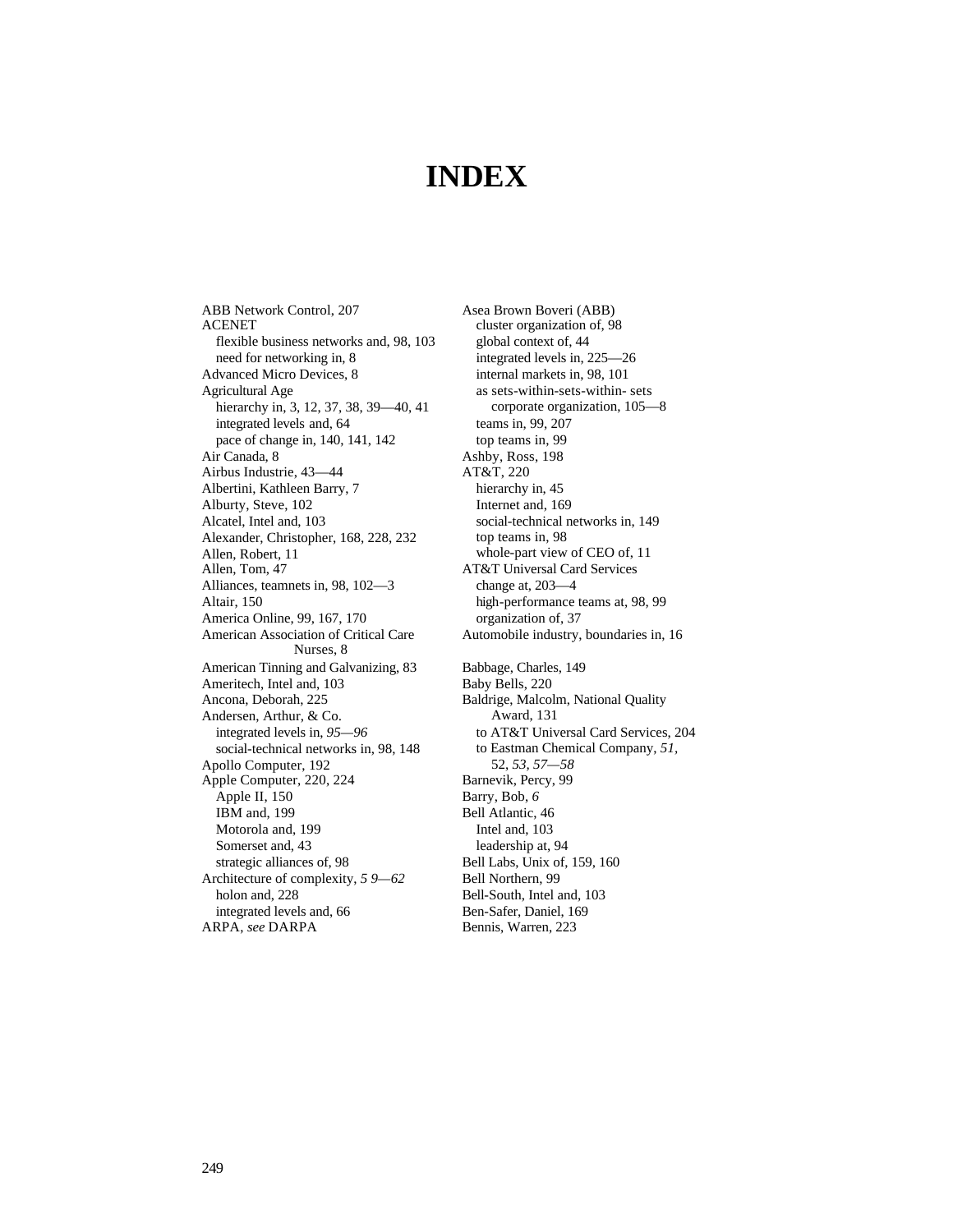## **INDEX**

ABB Network Control, 207 ACENET flexible business networks and, 98, 103 need for networking in, 8 Advanced Micro Devices, 8 Agricultural Age hierarchy in, 3, 12, 37, 38, 39-40, 41 integrated levels and, 64 pace of change in, 140, 141, 142 Air Canada, 8 Airbus Industrie, 43—44 Albertini, Kathleen Barry, 7 Alburty, Steve, 102 Alcatel, Intel and, 103 Alexander, Christopher, 168, 228, 232 Allen, Robert, 11 Allen, Tom, 47 Alliances, teamnets in, 98, 102—3 Altair, 150 America Online, 99, 167, 170 American Association of Critical Care Nurses, 8 American Tinning and Galvanizing, 83 Ameritech, Intel and, 103 Ancona, Deborah, 225 Andersen, Arthur, & Co. integrated levels in, *95—96* social-technical networks in, 98, 148 Apollo Computer, 192 Apple Computer, 220, 224 Apple II, 150 IBM and, 199 Motorola and, 199 Somerset and, 43 strategic alliances of, 98 Architecture of complexity, *5 9—62* holon and, 228 integrated levels and, 66 ARPA, *see* DARPA

Asea Brown Boveri (ABB) cluster organization of, 98 global context of, 44 integrated levels in, 225—26 internal markets in, 98, 101 as sets-within-sets-within- sets corporate organization, 105—8 teams in, 99, 207 top teams in, 99 Ashby, Ross, 198 AT&T, 220 hierarchy in, 45 Internet and, 169 social-technical networks in, 149 top teams in, 98 whole-part view of CEO of, 11 AT&T Universal Card Services change at, 203—4 high-performance teams at, 98, 99 organization of, 37 Automobile industry, boundaries in, 16 Babbage, Charles, 149 Baby Bells, 220 Baldrige, Malcolm, National Quality Award, 131 to AT&T Universal Card Services, 204 to Eastman Chemical Company, *51,*  52, *53, 57—58* Barnevik, Percy, 99 Barry, Bob, *6* Bell Atlantic, 46 Intel and, 103 leadership at, 94 Bell Labs, Unix of, 159, 160 Bell Northern, 99 Bell-South, Intel and, 103 Ben-Safer, Daniel, 169 Bennis, Warren, 223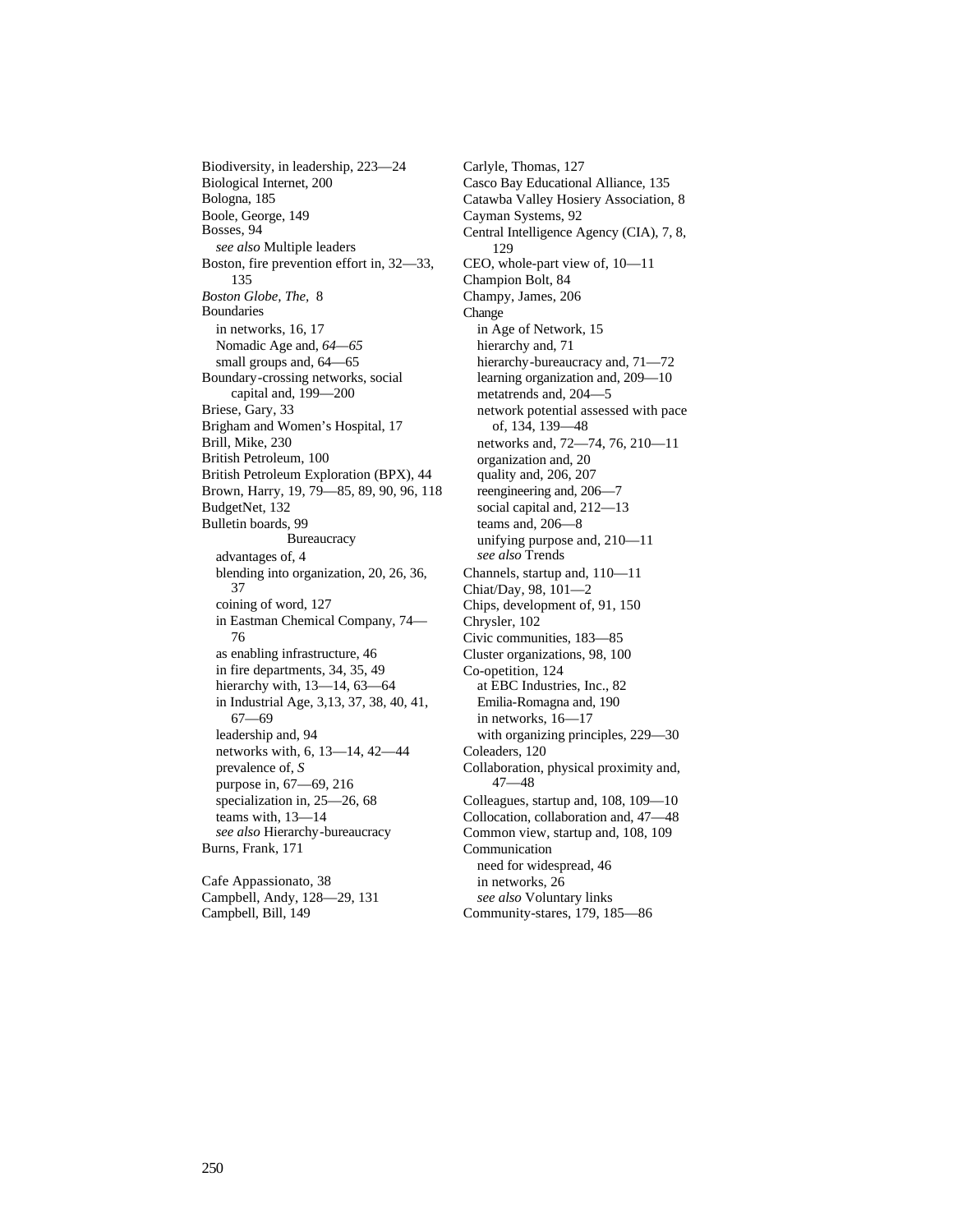Biodiversity, in leadership, 223—24 Biological Internet, 200 Bologna, 185 Boole, George, 149 Bosses, 94 *see also* Multiple leaders Boston, fire prevention effort in, 32—33, 135 *Boston Globe, The,* 8 Boundaries in networks, 16, 17 Nomadic Age and, *64—65* small groups and, 64—65 Boundary-crossing networks, social capital and, 199—200 Briese, Gary, 33 Brigham and Women's Hospital, 17 Brill, Mike, 230 British Petroleum, 100 British Petroleum Exploration (BPX), 44 Brown, Harry, 19, 79—85, 89, 90, 96, 118 BudgetNet, 132 Bulletin boards, 99 **Bureaucracy** advantages of, 4 blending into organization, 20, 26, 36, 37 coining of word, 127 in Eastman Chemical Company, 74— 76 as enabling infrastructure, 46 in fire departments, 34, 35, 49 hierarchy with, 13—14, 63—64 in Industrial Age, 3,13, 37, 38, 40, 41, 67—69 leadership and, 94 networks with, 6, 13—14, 42—44 prevalence of, *S* purpose in, 67—69, 216 specialization in, 25—26, 68 teams with, 13—14 *see also* Hierarchy-bureaucracy Burns, Frank, 171

Cafe Appassionato, 38 Campbell, Andy, 128—29, 131 Campbell, Bill, 149

Carlyle, Thomas, 127 Casco Bay Educational Alliance, 135 Catawba Valley Hosiery Association, 8 Cayman Systems, 92 Central Intelligence Agency (CIA), 7, 8, 129 CEO, whole-part view of, 10—11 Champion Bolt, 84 Champy, James, 206 Change in Age of Network, 15 hierarchy and, 71 hierarchy-bureaucracy and,  $71-72$ learning organization and, 209—10 metatrends and, 204—5 network potential assessed with pace of, 134, 139—48 networks and, 72—74, 76, 210—11 organization and, 20 quality and, 206, 207 reengineering and, 206—7 social capital and, 212—13 teams and, 206—8 unifying purpose and, 210—11 *see also* Trends Channels, startup and, 110—11 Chiat/Day, 98, 101—2 Chips, development of, 91, 150 Chrysler, 102 Civic communities, 183—85 Cluster organizations, 98, 100 Co-opetition, 124 at EBC Industries, Inc., 82 Emilia-Romagna and, 190 in networks, 16—17 with organizing principles, 229—30 Coleaders, 120 Collaboration, physical proximity and, 47—48 Colleagues, startup and, 108, 109—10 Collocation, collaboration and, 47—48 Common view, startup and, 108, 109 Communication need for widespread, 46 in networks, 26 *see also* Voluntary links Community-stares, 179, 185—86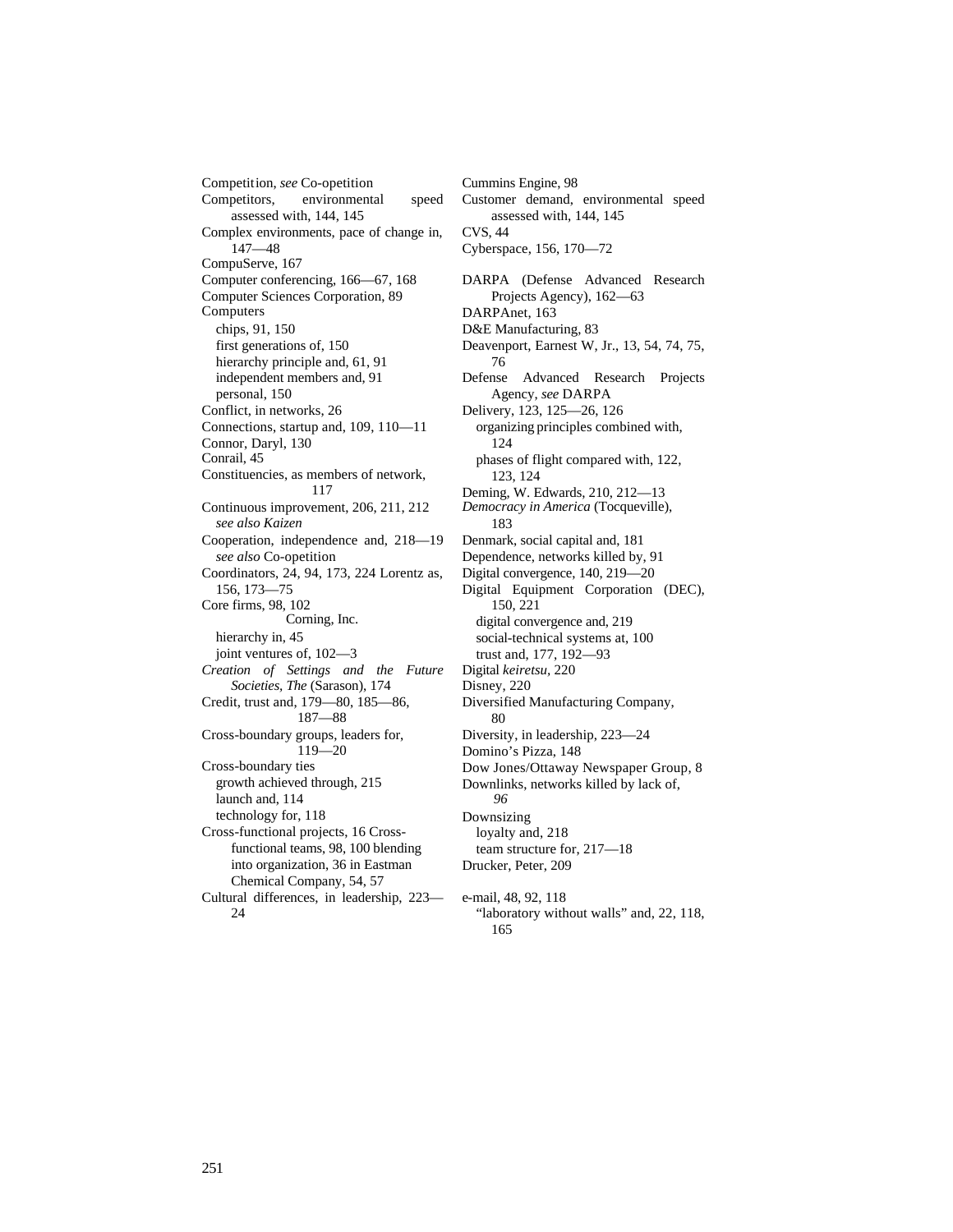Competition, *see* Co-opetition Competitors, environmental speed assessed with, 144, 145 Complex environments, pace of change in, 147—48 CompuServe, 167 Computer conferencing, 166—67, 168 Computer Sciences Corporation, 89 Computers chips, 91, 150 first generations of, 150 hierarchy principle and, 61, 91 independent members and, 91 personal, 150 Conflict, in networks, 26 Connections, startup and, 109, 110—11 Connor, Daryl, 130 Conrail, 45 Constituencies, as members of network, 117 Continuous improvement, 206, 211, 212 *see also Kaizen* Cooperation, independence and, 218—19 *see also* Co-opetition Coordinators, 24, 94, 173, 224 Lorentz as, 156, 173—75 Core firms, 98, 102 Corning, Inc. hierarchy in, 45 joint ventures of, 102—3 *Creation of Settings and the Future Societies, The* (Sarason), 174 Credit, trust and, 179—80, 185—86, 187—88 Cross-boundary groups, leaders for, 119—20 Cross-boundary ties growth achieved through, 215 launch and, 114 technology for, 118 Cross-functional projects, 16 Crossfunctional teams, 98, 100 blending into organization, 36 in Eastman Chemical Company, 54, 57 Cultural differences, in leadership, 223— 24

Cummins Engine, 98 Customer demand, environmental speed assessed with, 144, 145 CVS, 44 Cyberspace, 156, 170—72 DARPA (Defense Advanced Research Projects Agency), 162—63 DARPAnet, 163 D&E Manufacturing, 83 Deavenport, Earnest W, Jr., 13, 54, 74, 75, 76 Defense Advanced Research Projects Agency, *see* DARPA Delivery, 123, 125—26, 126 organizing principles combined with, 124 phases of flight compared with, 122, 123, 124 Deming, W. Edwards, 210, 212—13 *Democracy in America* (Tocqueville), 183 Denmark, social capital and, 181 Dependence, networks killed by, 91 Digital convergence, 140, 219—20 Digital Equipment Corporation (DEC), 150, 221 digital convergence and, 219 social-technical systems at, 100 trust and, 177, 192—93 Digital *keiretsu,* 220 Disney, 220 Diversified Manufacturing Company, 80 Diversity, in leadership, 223—24 Domino's Pizza, 148 Dow Jones/Ottaway Newspaper Group, 8 Downlinks, networks killed by lack of, *96* Downsizing loyalty and, 218 team structure for, 217—18 Drucker, Peter, 209 e-mail, 48, 92, 118 "laboratory without walls" and, 22, 118, 165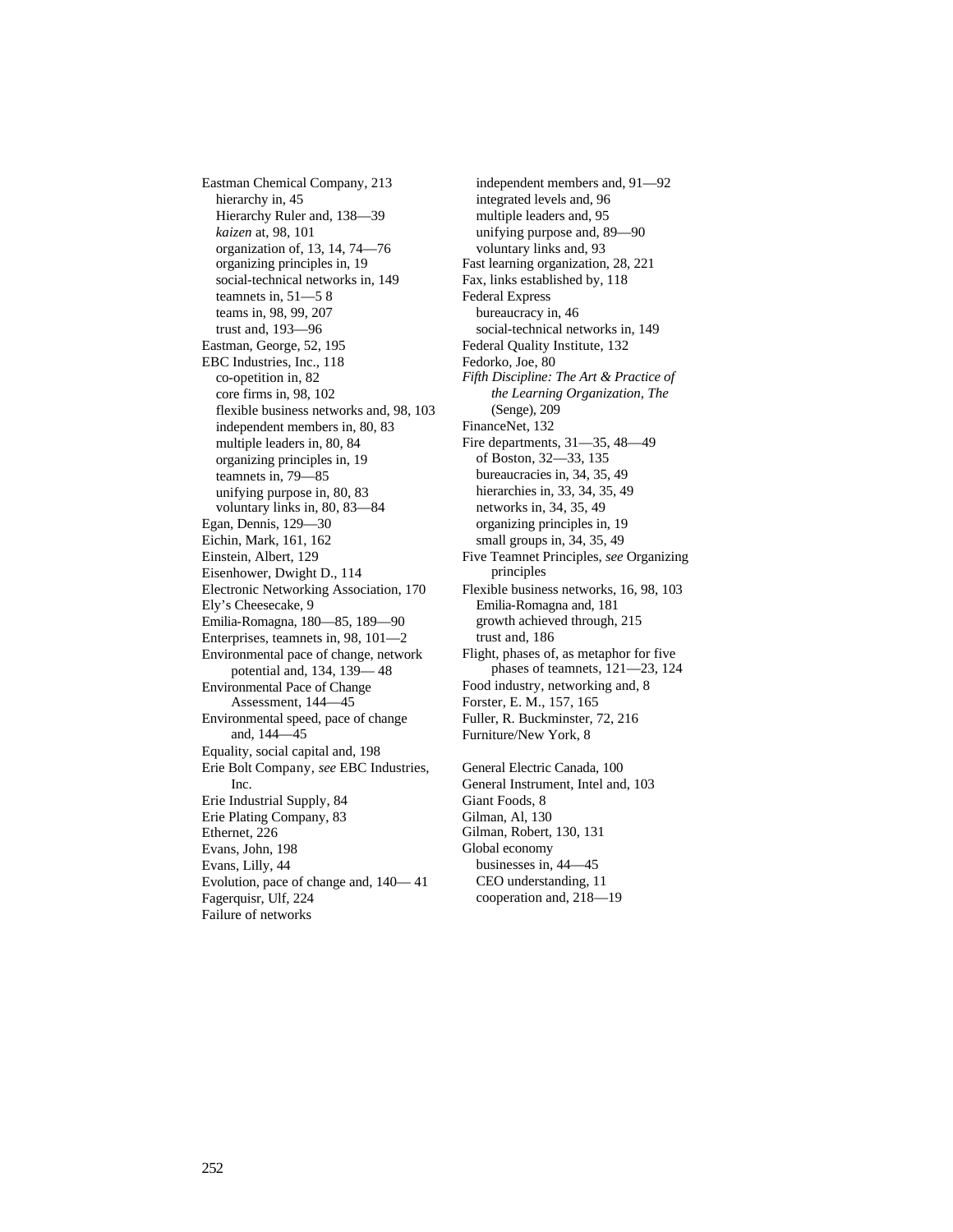Eastman Chemical Company, 213 hierarchy in, 45 Hierarchy Ruler and, 138—39 *kaizen* at, 98, 101 organization of, 13, 14, 74—76 organizing principles in, 19 social-technical networks in, 149 teamnets in, 51—5 8 teams in, 98, 99, 207 trust and, 193—96 Eastman, George, 52, 195 EBC Industries, Inc., 118 co-opetition in, 82 core firms in, 98, 102 flexible business networks and, 98, 103 independent members in, 80, 83 multiple leaders in, 80, 84 organizing principles in, 19 teamnets in, 79—85 unifying purpose in, 80, 83 voluntary links in, 80, 83—84 Egan, Dennis, 129—30 Eichin, Mark, 161, 162 Einstein, Albert, 129 Eisenhower, Dwight D., 114 Electronic Networking Association, 170 Ely's Cheesecake, 9 Emilia-Romagna, 180—85, 189—90 Enterprises, teamnets in, 98, 101—2 Environmental pace of change, network potential and, 134, 139— 48 Environmental Pace of Change Assessment, 144—45 Environmental speed, pace of change and, 144—45 Equality, social capital and, 198 Erie Bolt Company, *see* EBC Industries, Inc. Erie Industrial Supply, 84 Erie Plating Company, 83 Ethernet, 226 Evans, John, 198 Evans, Lilly, 44 Evolution, pace of change and, 140— 41 Fagerquisr, Ulf, 224 Failure of networks

independent members and, 91—92 integrated levels and, 96 multiple leaders and, 95 unifying purpose and, 89—90 voluntary links and, 93 Fast learning organization, 28, 221 Fax, links established by, 118 Federal Express bureaucracy in, 46 social-technical networks in, 149 Federal Quality Institute, 132 Fedorko, Joe, 80 *Fifth Discipline: The Art & Practice of the Learning Organization, The* (Senge), 209 FinanceNet, 132 Fire departments, 31—35, 48—49 of Boston, 32—33, 135 bureaucracies in, 34, 35, 49 hierarchies in, 33, 34, 35, 49 networks in, 34, 35, 49 organizing principles in, 19 small groups in, 34, 35, 49 Five Teamnet Principles, *see* Organizing principles Flexible business networks, 16, 98, 103 Emilia-Romagna and, 181 growth achieved through, 215 trust and, 186 Flight, phases of, as metaphor for five phases of teamnets, 121—23, 124 Food industry, networking and, 8 Forster, E. M., 157, 165 Fuller, R. Buckminster, 72, 216 Furniture/New York, 8 General Electric Canada, 100 General Instrument, Intel and, 103 Giant Foods, 8 Gilman, Al, 130 Gilman, Robert, 130, 131 Global economy businesses in, 44—45

CEO understanding, 11 cooperation and, 218—19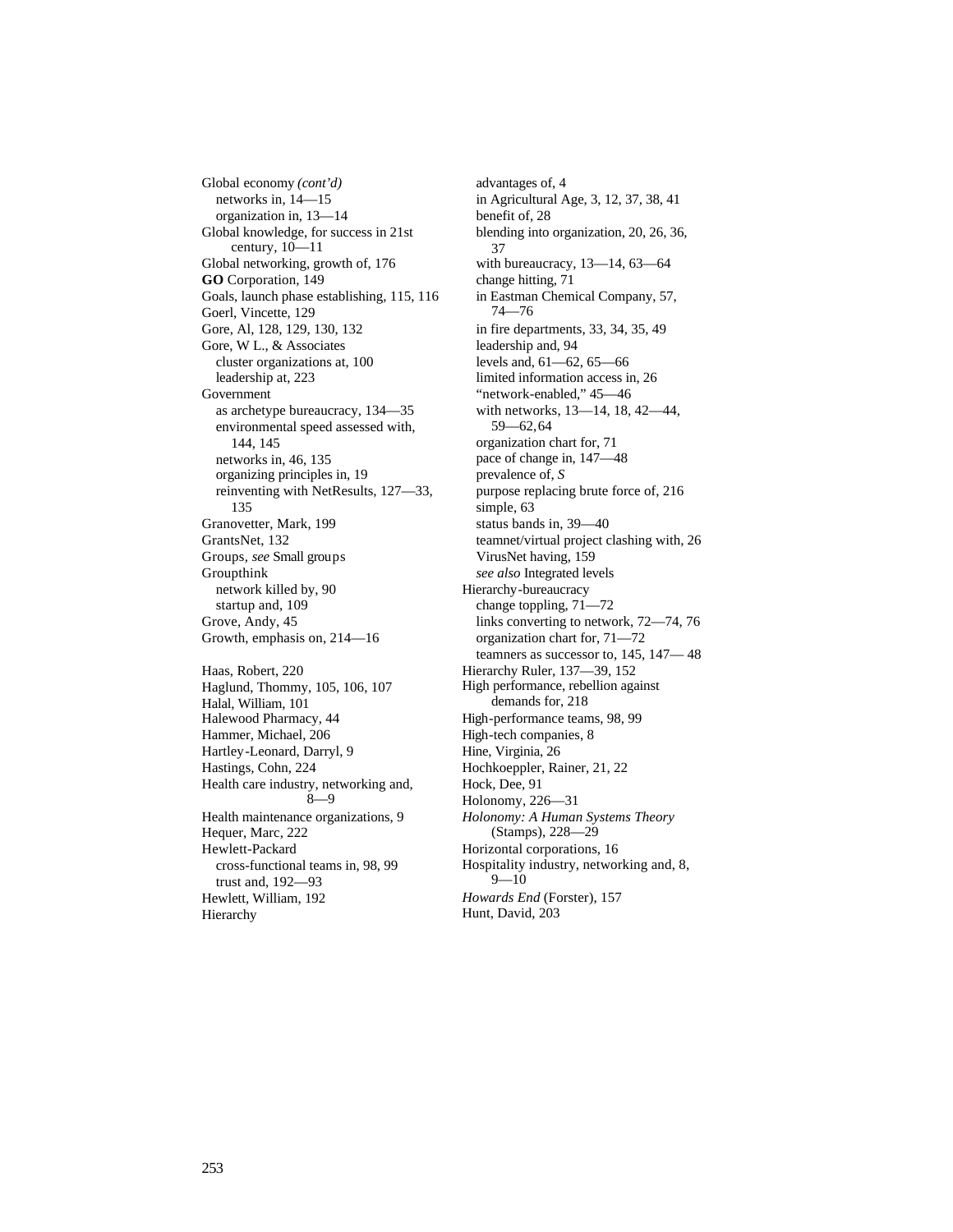Global economy *(cont'd)* networks in, 14—15 organization in, 13—14 Global knowledge, for success in 21st century, 10—11 Global networking, growth of, 176 **GO** Corporation, 149 Goals, launch phase establishing, 115, 116 Goerl, Vincette, 129 Gore, Al, 128, 129, 130, 132 Gore, W L., & Associates cluster organizations at, 100 leadership at, 223 Government as archetype bureaucracy, 134—35 environmental speed assessed with, 144, 145 networks in, 46, 135 organizing principles in, 19 reinventing with NetResults, 127—33, 135 Granovetter, Mark, 199 GrantsNet, 132 Groups, *see* Small groups Groupthink network killed by, 90 startup and, 109 Grove, Andy, 45 Growth, emphasis on, 214—16 Haas, Robert, 220 Haglund, Thommy, 105, 106, 107 Halal, William, 101 Halewood Pharmacy, 44 Hammer, Michael, 206 Hartley-Leonard, Darryl, 9 Hastings, Cohn, 224 Health care industry, networking and, 8—9 Health maintenance organizations, 9 Hequer, Marc, 222 Hewlett-Packard cross-functional teams in, 98, 99 trust and, 192—93 Hewlett, William, 192 Hierarchy

advantages of, 4 in Agricultural Age, 3, 12, 37, 38, 41 benefit of, 28 blending into organization, 20, 26, 36, 37 with bureaucracy, 13—14, 63—64 change hitting, 71 in Eastman Chemical Company, 57, 74—76 in fire departments, 33, 34, 35, 49 leadership and, 94 levels and, 61—62, 65—66 limited information access in, 26 "network-enabled," 45—46 with networks, 13—14, 18, 42—44, 59—62,64 organization chart for, 71 pace of change in, 147—48 prevalence of, *S* purpose replacing brute force of, 216 simple, 63 status bands in, 39—40 teamnet/virtual project clashing with, 26 VirusNet having, 159 *see also* Integrated levels Hierarchy-bureaucracy change toppling, 71—72 links converting to network, 72—74, 76 organization chart for, 71—72 teamners as successor to, 145, 147— 48 Hierarchy Ruler, 137—39, 152 High performance, rebellion against demands for, 218 High-performance teams, 98, 99 High-tech companies, 8 Hine, Virginia, 26 Hochkoeppler, Rainer, 21, 22 Hock, Dee, 91 Holonomy, 226—31 *Holonomy: A Human Systems Theory* (Stamps), 228—29 Horizontal corporations, 16 Hospitality industry, networking and, 8,  $9 - 10$ *Howards End* (Forster), 157 Hunt, David, 203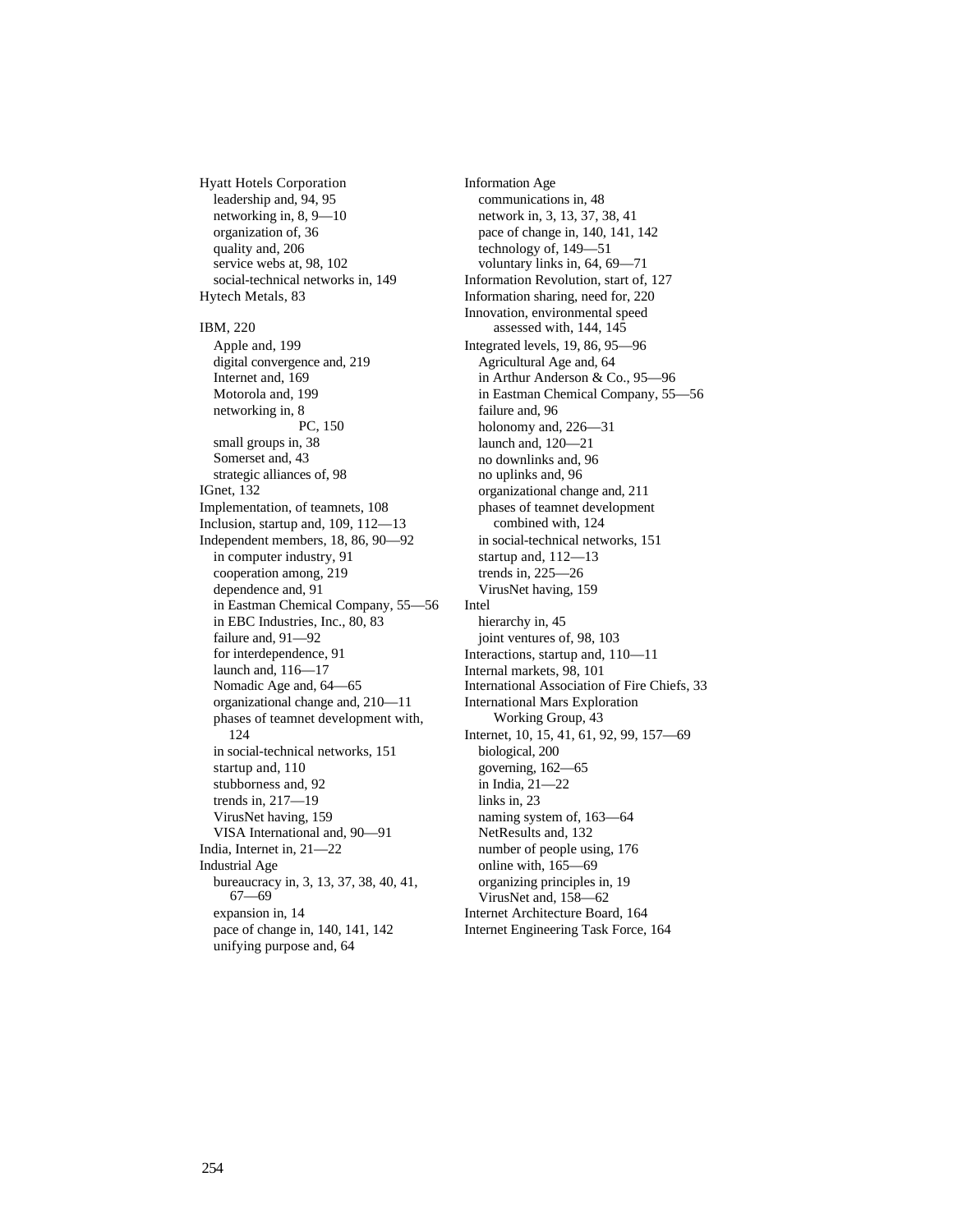Hyatt Hotels Corporation leadership and, 94, 95 networking in, 8, 9—10 organization of, 36 quality and, 206 service webs at, 98, 102 social-technical networks in, 149 Hytech Metals, 83 IBM, 220 Apple and, 199 digital convergence and, 219 Internet and, 169 Motorola and, 199 networking in, 8 PC, 150 small groups in, 38 Somerset and, 43 strategic alliances of, 98 IGnet, 132 Implementation, of teamnets, 108 Inclusion, startup and, 109, 112—13 Independent members, 18, 86, 90—92 in computer industry, 91 cooperation among, 219 dependence and, 91 in Eastman Chemical Company, 55—56 in EBC Industries, Inc., 80, 83 failure and, 91—92 for interdependence, 91 launch and, 116—17 Nomadic Age and, 64—65 organizational change and, 210—11 phases of teamnet development with, 124 in social-technical networks, 151 startup and, 110 stubborness and, 92 trends in, 217—19 VirusNet having, 159 VISA International and, 90—91 India, Internet in, 21—22 Industrial Age bureaucracy in, 3, 13, 37, 38, 40, 41, 67—69 expansion in, 14 pace of change in, 140, 141, 142 unifying purpose and, 64

Information Age communications in, 48 network in, 3, 13, 37, 38, 41 pace of change in, 140, 141, 142 technology of, 149—51 voluntary links in, 64, 69—71 Information Revolution, start of, 127 Information sharing, need for, 220 Innovation, environmental speed assessed with, 144, 145 Integrated levels, 19, 86, 95—96 Agricultural Age and, 64 in Arthur Anderson & Co., 95—96 in Eastman Chemical Company, 55—56 failure and, 96 holonomy and, 226—31 launch and, 120—21 no downlinks and, 96 no uplinks and, 96 organizational change and, 211 phases of teamnet development combined with, 124 in social-technical networks, 151 startup and, 112—13 trends in, 225—26 VirusNet having, 159 Intel hierarchy in, 45 joint ventures of, 98, 103 Interactions, startup and, 110—11 Internal markets, 98, 101 International Association of Fire Chiefs, 33 International Mars Exploration Working Group, 43 Internet, 10, 15, 41, 61, 92, 99, 157—69 biological, 200 governing, 162—65 in India, 21—22 links in, 23 naming system of, 163—64 NetResults and, 132 number of people using, 176 online with, 165—69 organizing principles in, 19 VirusNet and, 158—62 Internet Architecture Board, 164 Internet Engineering Task Force, 164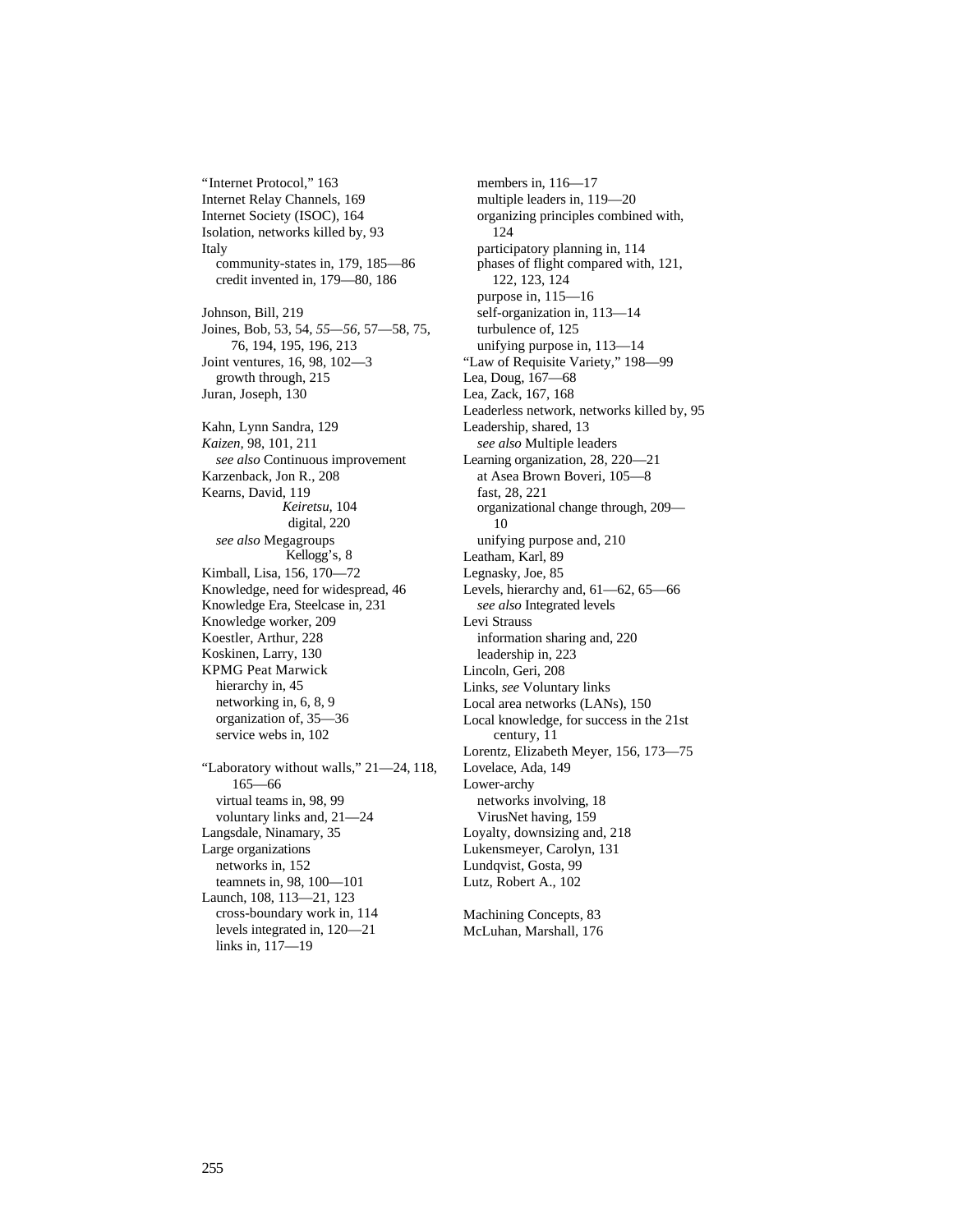"Internet Protocol," 163 Internet Relay Channels, 169 Internet Society (ISOC), 164 Isolation, networks killed by, 93 Italy community-states in, 179, 185—86 credit invented in, 179—80, 186 Johnson, Bill, 219 Joines, Bob, 53, 54, *55—56,* 57—58, 75, 76, 194, 195, 196, 213 Joint ventures, 16, 98, 102—3 growth through, 215 Juran, Joseph, 130 Kahn, Lynn Sandra, 129 *Kaizen,* 98, 101, 211 *see also* Continuous improvement Karzenback, Jon R., 208 Kearns, David, 119 *Keiretsu,* 104 digital, 220 *see also* Megagroups Kellogg's, 8 Kimball, Lisa, 156, 170—72 Knowledge, need for widespread, 46 Knowledge Era, Steelcase in, 231 Knowledge worker, 209 Koestler, Arthur, 228 Koskinen, Larry, 130 KPMG Peat Marwick hierarchy in, 45 networking in, 6, 8, 9 organization of, 35—36 service webs in, 102 "Laboratory without walls," 21—24, 118, 165—66 virtual teams in, 98, 99 voluntary links and, 21—24 Langsdale, Ninamary, 35 Large organizations networks in, 152 teamnets in, 98, 100—101 Launch, 108, 113—21, 123 cross-boundary work in, 114

levels integrated in, 120—21

links in, 117—19

members in, 116—17 multiple leaders in, 119—20 organizing principles combined with, 124 participatory planning in, 114 phases of flight compared with, 121, 122, 123, 124 purpose in, 115—16 self-organization in, 113—14 turbulence of, 125 unifying purpose in, 113—14 "Law of Requisite Variety," 198—99 Lea, Doug, 167—68 Lea, Zack, 167, 168 Leaderless network, networks killed by, 95 Leadership, shared, 13 *see also* Multiple leaders Learning organization, 28, 220—21 at Asea Brown Boveri, 105—8 fast, 28, 221 organizational change through, 209— 10 unifying purpose and, 210 Leatham, Karl, 89 Legnasky, Joe, 85 Levels, hierarchy and, 61—62, 65—66 *see also* Integrated levels Levi Strauss information sharing and, 220 leadership in, 223 Lincoln, Geri, 208 Links, *see* Voluntary links Local area networks (LANs), 150 Local knowledge, for success in the 21st century, 11 Lorentz, Elizabeth Meyer, 156, 173—75 Lovelace, Ada, 149 Lower-archy networks involving, 18 VirusNet having, 159 Loyalty, downsizing and, 218 Lukensmeyer, Carolyn, 131 Lundqvist, Gosta, 99 Lutz, Robert A., 102

Machining Concepts, 83 McLuhan, Marshall, 176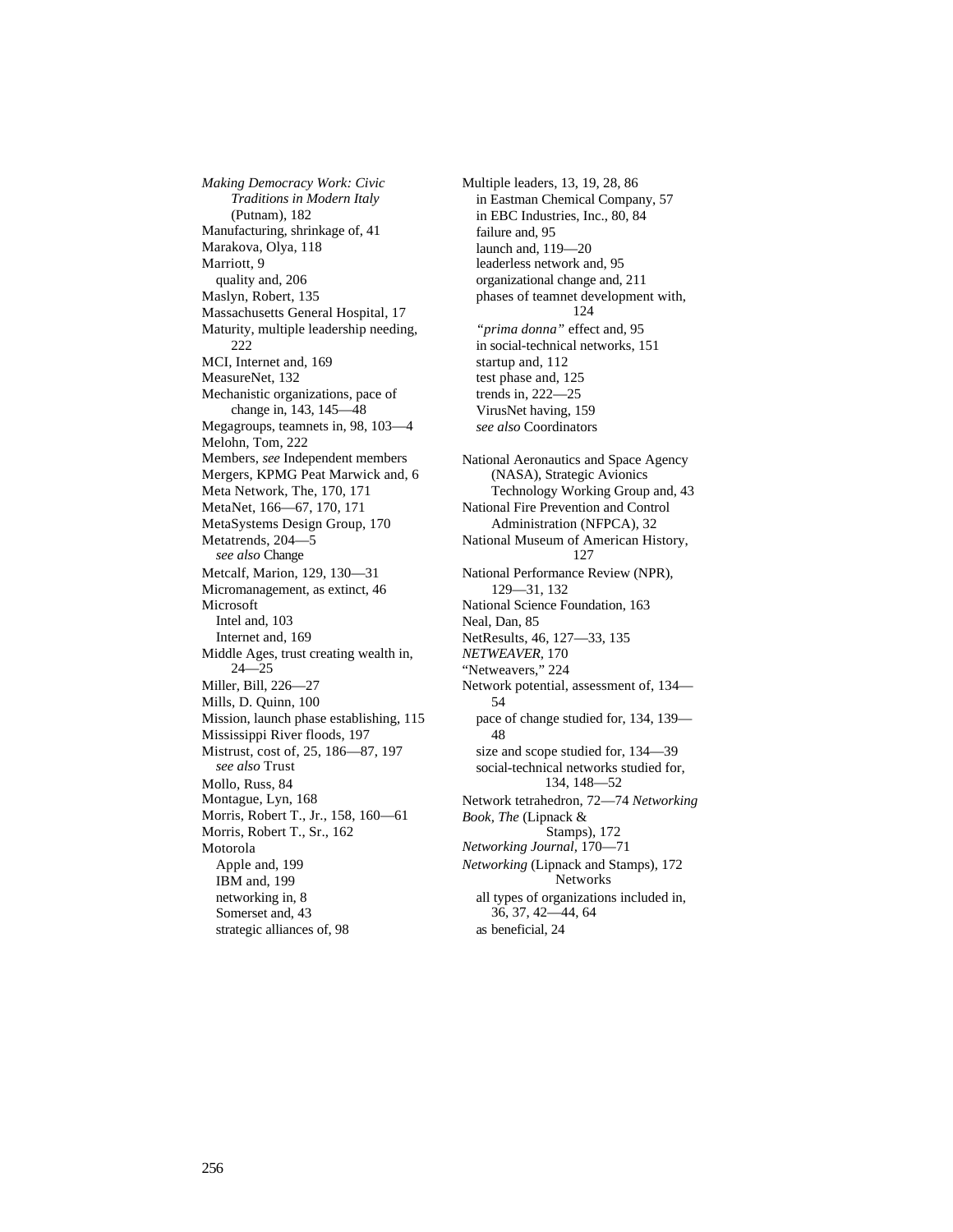*Making Democracy Work: Civic Traditions in Modern Italy* (Putnam), 182 Manufacturing, shrinkage of, 41 Marakova, Olya, 118 Marriott, 9 quality and, 206 Maslyn, Robert, 135 Massachusetts General Hospital, 17 Maturity, multiple leadership needing, 222 MCI, Internet and, 169 MeasureNet, 132 Mechanistic organizations, pace of change in, 143, 145—48 Megagroups, teamnets in, 98, 103—4 Melohn, Tom, 222 Members, *see* Independent members Mergers, KPMG Peat Marwick and, 6 Meta Network, The, 170, 171 MetaNet, 166—67, 170, 171 MetaSystems Design Group, 170 Metatrends, 204—5 *see also* Change Metcalf, Marion, 129, 130—31 Micromanagement, as extinct, 46 Microsoft Intel and, 103 Internet and, 169 Middle Ages, trust creating wealth in, 24—25 Miller, Bill, 226—27 Mills, D. Quinn, 100 Mission, launch phase establishing, 115 Mississippi River floods, 197 Mistrust, cost of, 25, 186—87, 197 *see also* Trust Mollo, Russ, 84 Montague, Lyn, 168 Morris, Robert T., Jr., 158, 160—61 Morris, Robert T., Sr., 162 Motorola Apple and, 199 IBM and, 199 networking in, 8 Somerset and, 43 strategic alliances of, 98

Multiple leaders, 13, 19, 28, 86 in Eastman Chemical Company, 57 in EBC Industries, Inc., 80, 84 failure and, 95 launch and, 119—20 leaderless network and, 95 organizational change and, 211 phases of teamnet development with, 124 *"prima donna"* effect and, 95 in social-technical networks, 151 startup and, 112 test phase and, 125 trends in, 222—25 VirusNet having, 159 *see also* Coordinators National Aeronautics and Space Agency (NASA), Strategic Avionics Technology Working Group and, 43 National Fire Prevention and Control Administration (NFPCA), 32 National Museum of American History, 127 National Performance Review (NPR), 129—31, 132 National Science Foundation, 163 Neal, Dan, 85 NetResults, 46, 127—33, 135 *NETWEAVER,* 170 "Netweavers," 224 Network potential, assessment of, 134— 54 pace of change studied for, 134, 139— 48 size and scope studied for, 134—39 social-technical networks studied for, 134, 148—52 Network tetrahedron, 72—74 *Networking Book, The* (Lipnack & Stamps), 172 *Networking Journal,* 170—71 *Networking* (Lipnack and Stamps), 172 Networks all types of organizations included in, 36, 37, 42—44, 64 as beneficial, 24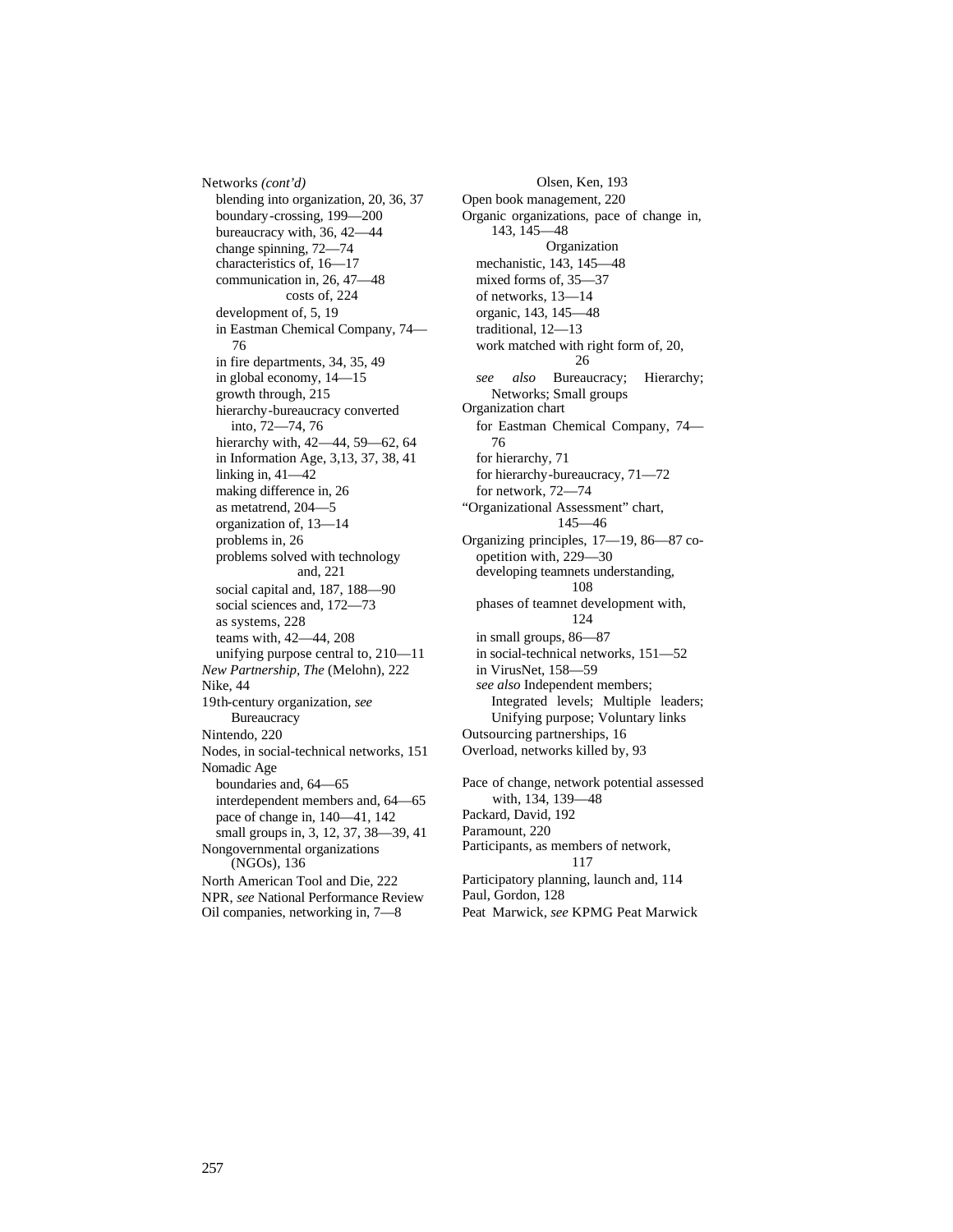Networks *(cont'd)* blending into organization, 20, 36, 37 boundary-crossing, 199—200 bureaucracy with, 36, 42—44 change spinning, 72—74 characteristics of, 16—17 communication in, 26, 47—48 costs of, 224 development of, 5, 19 in Eastman Chemical Company, 74— 76 in fire departments, 34, 35, 49 in global economy, 14—15 growth through, 215 hierarchy-bureaucracy converted into, 72—74, 76 hierarchy with, 42—44, 59—62, 64 in Information Age, 3,13, 37, 38, 41 linking in, 41—42 making difference in, 26 as metatrend, 204—5 organization of, 13—14 problems in, 26 problems solved with technology and, 221 social capital and, 187, 188—90 social sciences and, 172—73 as systems, 228 teams with, 42—44, 208 unifying purpose central to, 210—11 *New Partnership, The* (Melohn), 222 Nike, 44 19th-century organization, *see* **Bureaucracy** Nintendo, 220 Nodes, in social-technical networks, 151 Nomadic Age boundaries and, 64—65 interdependent members and, 64—65 pace of change in, 140—41, 142 small groups in, 3, 12, 37, 38—39, 41 Nongovernmental organizations (NGOs), 136 North American Tool and Die, 222 NPR, *see* National Performance Review Oil companies, networking in, 7—8

Olsen, Ken, 193 Open book management, 220 Organic organizations, pace of change in, 143, 145—48 Organization mechanistic, 143, 145—48 mixed forms of, 35—37 of networks, 13—14 organic, 143, 145—48 traditional, 12—13 work matched with right form of, 20, 26 *see also* Bureaucracy; Hierarchy; Networks; Small groups Organization chart for Eastman Chemical Company, 74— 76 for hierarchy, 71 for hierarchy-bureaucracy, 71—72 for network, 72—74 "Organizational Assessment" chart, 145—46 Organizing principles, 17—19, 86—87 coopetition with, 229—30 developing teamnets understanding, 108 phases of teamnet development with, 124 in small groups, 86—87 in social-technical networks, 151—52 in VirusNet, 158—59 *see also* Independent members; Integrated levels; Multiple leaders; Unifying purpose; Voluntary links Outsourcing partnerships, 16 Overload, networks killed by, 93 Pace of change, network potential assessed with, 134, 139—48 Packard, David, 192 Paramount, 220 Participants, as members of network, 117 Participatory planning, launch and, 114 Paul, Gordon, 128 Peat Marwick, *see* KPMG Peat Marwick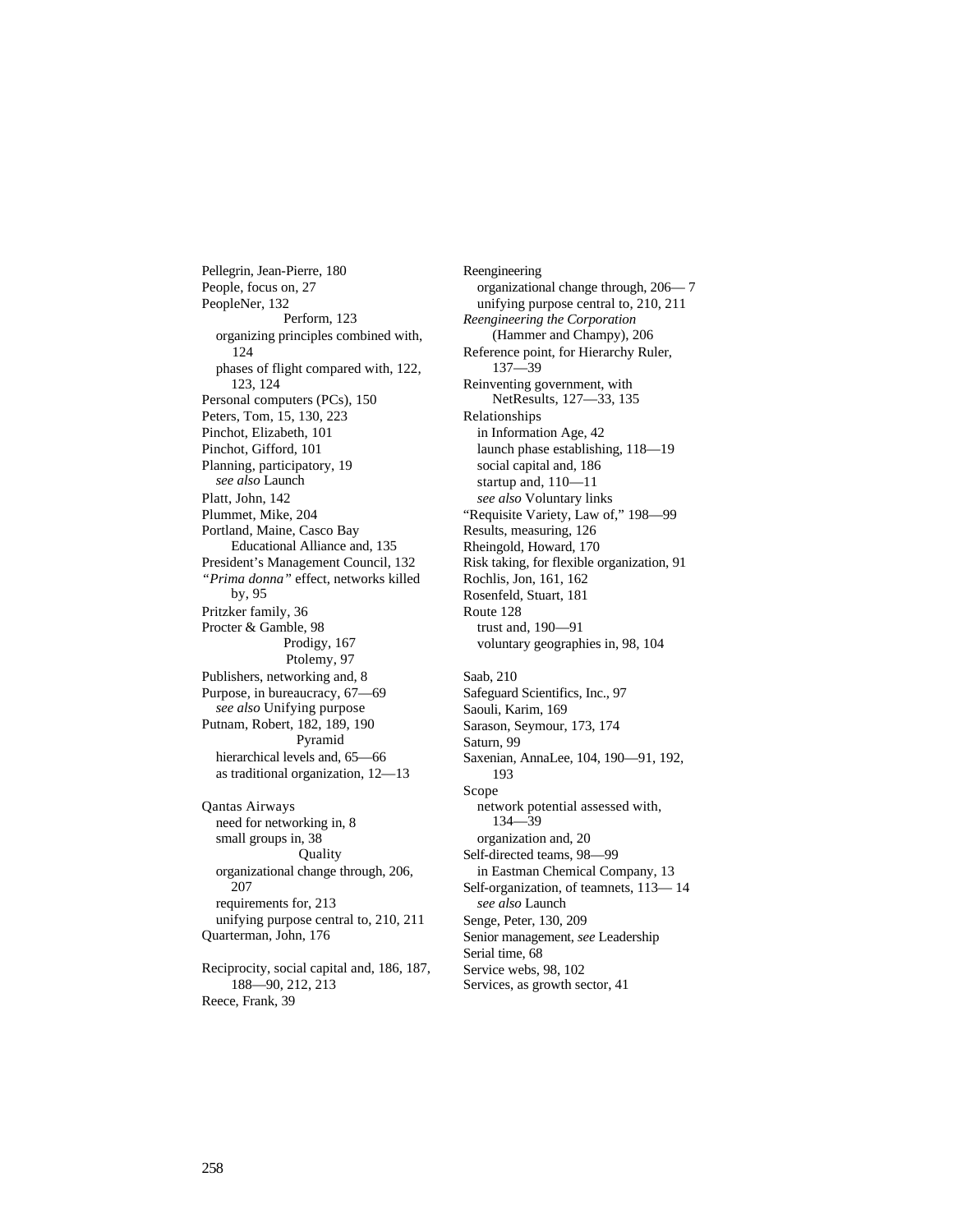Pellegrin, Jean-Pierre, 180 People, focus on, 27 PeopleNer, 132 Perform, 123 organizing principles combined with, 124 phases of flight compared with, 122, 123, 124 Personal computers (PCs), 150 Peters, Tom, 15, 130, 223 Pinchot, Elizabeth, 101 Pinchot, Gifford, 101 Planning, participatory, 19 *see also* Launch Platt, John, 142 Plummet, Mike, 204 Portland, Maine, Casco Bay Educational Alliance and, 135 President's Management Council, 132 *"Prima donna"* effect, networks killed by, 95 Pritzker family, 36 Procter & Gamble, 98 Prodigy, 167 Ptolemy, 97 Publishers, networking and, 8 Purpose, in bureaucracy, 67—69 *see also* Unifying purpose Putnam, Robert, 182, 189, 190 Pyramid hierarchical levels and, 65-66 as traditional organization, 12—13 Qantas Airways need for networking in, 8 small groups in, 38 **Quality** organizational change through, 206, 207 requirements for, 213 unifying purpose central to, 210, 211 Quarterman, John, 176 Reciprocity, social capital and, 186, 187, Reengineering organizational change through, 206— 7 unifying purpose central to, 210, 211 *Reengineering the Corporation* (Hammer and Champy), 206 Reference point, for Hierarchy Ruler, 137—39 Reinventing government, with NetResults, 127—33, 135 Relationships in Information Age, 42 launch phase establishing, 118—19 social capital and, 186 startup and, 110—11 *see also* Voluntary links "Requisite Variety, Law of," 198—99 Results, measuring, 126 Rheingold, Howard, 170 Risk taking, for flexible organization, 91 Rochlis, Jon, 161, 162 Rosenfeld, Stuart, 181 Route 128 trust and, 190—91 voluntary geographies in, 98, 104 Saab, 210 Safeguard Scientifics, Inc., 97 Saouli, Karim, 169 Sarason, Seymour, 173, 174 Saturn, 99 Saxenian, AnnaLee, 104, 190—91, 192, 193 Scope network potential assessed with, 134—39 organization and, 20 Self-directed teams, 98—99 in Eastman Chemical Company, 13 Self-organization, of teamnets, 113— 14

*see also* Launch Senge, Peter, 130, 209 Senior management, *see* Leadership Serial time, 68 Service webs, 98, 102

Services, as growth sector, 41

188—90, 212, 213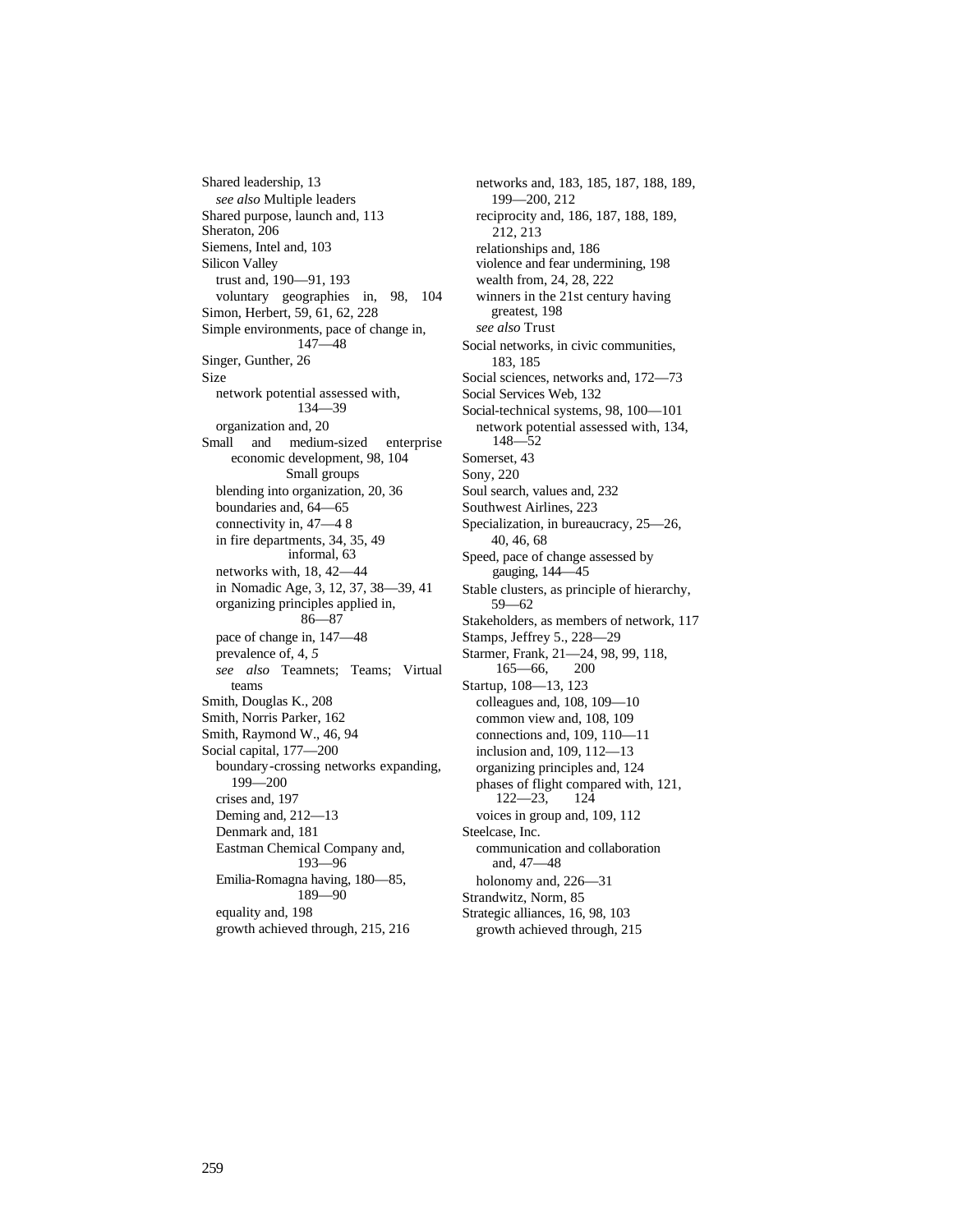Shared leadership, 13 *see also* Multiple leaders Shared purpose, launch and, 113 Sheraton, 206 Siemens, Intel and, 103 Silicon Valley trust and, 190—91, 193 voluntary geographies in, 98, 104 Simon, Herbert, 59, 61, 62, 228 Simple environments, pace of change in, 147—48 Singer, Gunther, 26 Size network potential assessed with, 134—39 organization and, 20 Small and medium-sized enterprise economic development, 98, 104 Small groups blending into organization, 20, 36 boundaries and, 64—65 connectivity in, 47—4 8 in fire departments, 34, 35, 49 informal, 63 networks with, 18, 42—44 in Nomadic Age, 3, 12, 37, 38—39, 41 organizing principles applied in, 86—87 pace of change in, 147—48 prevalence of, 4, *5 see also* Teamnets; Teams; Virtual teams Smith, Douglas K., 208 Smith, Norris Parker, 162 Smith, Raymond W., 46, 94 Social capital, 177—200 boundary-crossing networks expanding, 199—200 crises and, 197 Deming and, 212—13 Denmark and, 181 Eastman Chemical Company and, 193—96 Emilia-Romagna having, 180—85, 189—90 equality and, 198 growth achieved through, 215, 216

networks and, 183, 185, 187, 188, 189, 199—200, 212 reciprocity and, 186, 187, 188, 189, 212, 213 relationships and, 186 violence and fear undermining, 198 wealth from, 24, 28, 222 winners in the 21st century having greatest, 198 *see also* Trust Social networks, in civic communities, 183, 185 Social sciences, networks and, 172—73 Social Services Web, 132 Social-technical systems, 98, 100—101 network potential assessed with, 134, 148—52 Somerset, 43 Sony, 220 Soul search, values and, 232 Southwest Airlines, 223 Specialization, in bureaucracy, 25—26, 40, 46, 68 Speed, pace of change assessed by gauging, 144—45 Stable clusters, as principle of hierarchy, 59—62 Stakeholders, as members of network, 117 Stamps, Jeffrey 5., 228—29 Starmer, Frank, 21—24, 98, 99, 118, 165—66, 200 Startup, 108—13, 123 colleagues and, 108, 109—10 common view and, 108, 109 connections and, 109, 110—11 inclusion and, 109, 112—13 organizing principles and, 124 phases of flight compared with, 121, 122—23, 124 voices in group and, 109, 112 Steelcase, Inc. communication and collaboration and, 47—48 holonomy and, 226—31 Strandwitz, Norm, 85 Strategic alliances, 16, 98, 103 growth achieved through, 215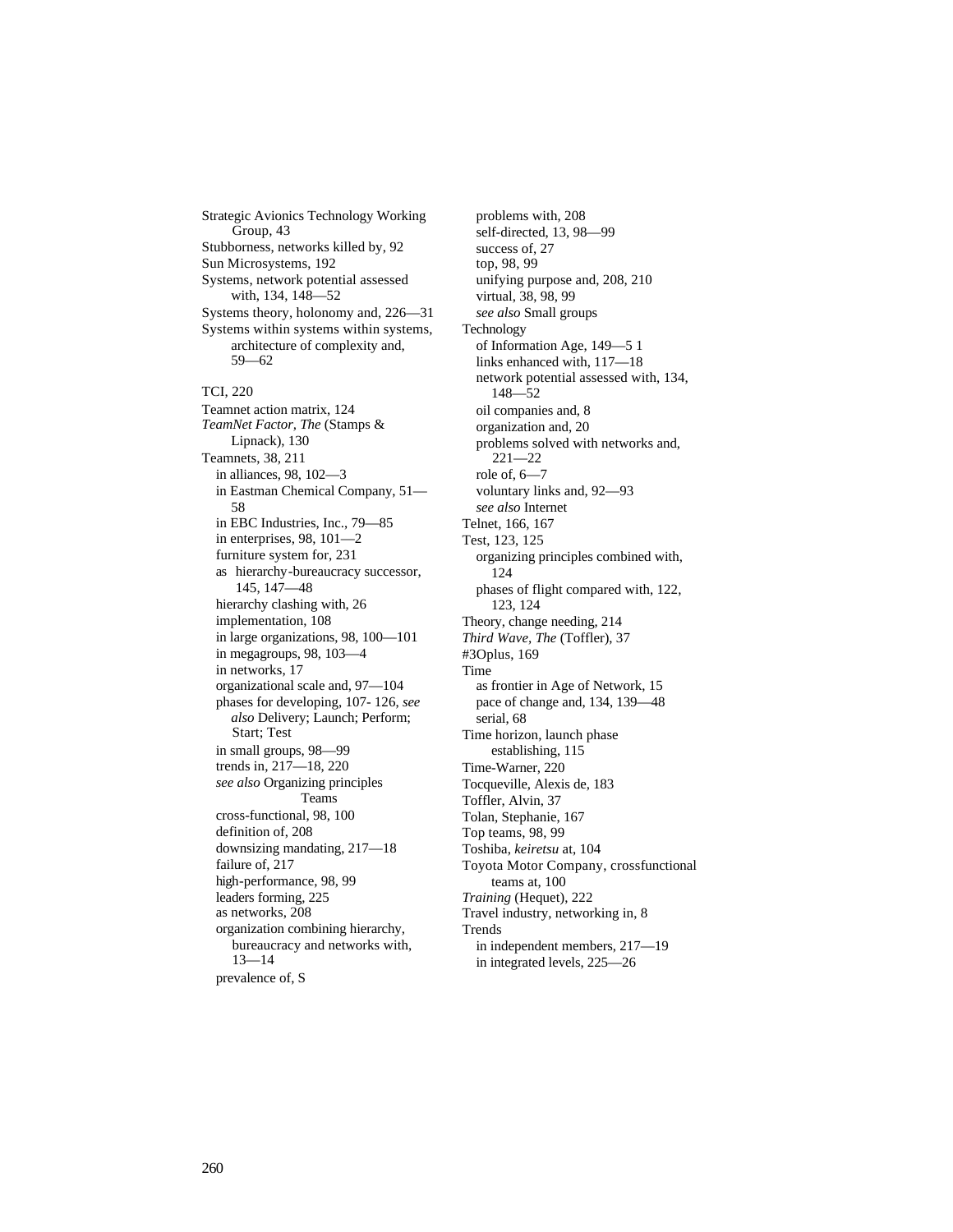Strategic Avionics Technology Working Group, 43 Stubborness, networks killed by, 92 Sun Microsystems, 192 Systems, network potential assessed with, 134, 148—52 Systems theory, holonomy and, 226—31 Systems within systems within systems, architecture of complexity and, 59—62 TCI, 220 Teamnet action matrix, 124 *TeamNet Factor, The* (Stamps & Lipnack), 130 Teamnets, 38, 211 in alliances, 98, 102—3 in Eastman Chemical Company, 51— 58 in EBC Industries, Inc., 79—85 in enterprises, 98, 101—2 furniture system for, 231 as hierarchy-bureaucracy successor, 145, 147—48 hierarchy clashing with, 26 implementation, 108 in large organizations, 98, 100—101 in megagroups, 98, 103—4 in networks, 17 organizational scale and, 97—104 phases for developing, 107- 126, *see also* Delivery; Launch; Perform; Start; Test in small groups, 98—99 trends in, 217—18, 220 *see also* Organizing principles Teams cross-functional, 98, 100 definition of, 208 downsizing mandating, 217—18 failure of, 217 high-performance, 98, 99 leaders forming, 225 as networks, 208 organization combining hierarchy, bureaucracy and networks with, 13—14 prevalence of, S

problems with, 208 self-directed, 13, 98—99 success of, 27 top, 98, 99 unifying purpose and, 208, 210 virtual, 38, 98, 99 *see also* Small groups Technology of Information Age, 149—5 1 links enhanced with, 117—18 network potential assessed with, 134, 148—52 oil companies and, 8 organization and, 20 problems solved with networks and, 221—22 role of, 6—7 voluntary links and, 92—93 *see also* Internet Telnet, 166, 167 Test, 123, 125 organizing principles combined with, 124 phases of flight compared with, 122, 123, 124 Theory, change needing, 214 *Third Wave, The* (Toffler), 37 #3Oplus, 169 Time as frontier in Age of Network, 15 pace of change and, 134, 139—48 serial, 68 Time horizon, launch phase establishing, 115 Time-Warner, 220 Tocqueville, Alexis de, 183 Toffler, Alvin, 37 Tolan, Stephanie, 167 Top teams, 98, 99 Toshiba, *keiretsu* at, 104 Toyota Motor Company, crossfunctional teams at, 100 *Training* (Hequet), 222 Travel industry, networking in, 8 Trends in independent members, 217—19 in integrated levels, 225—26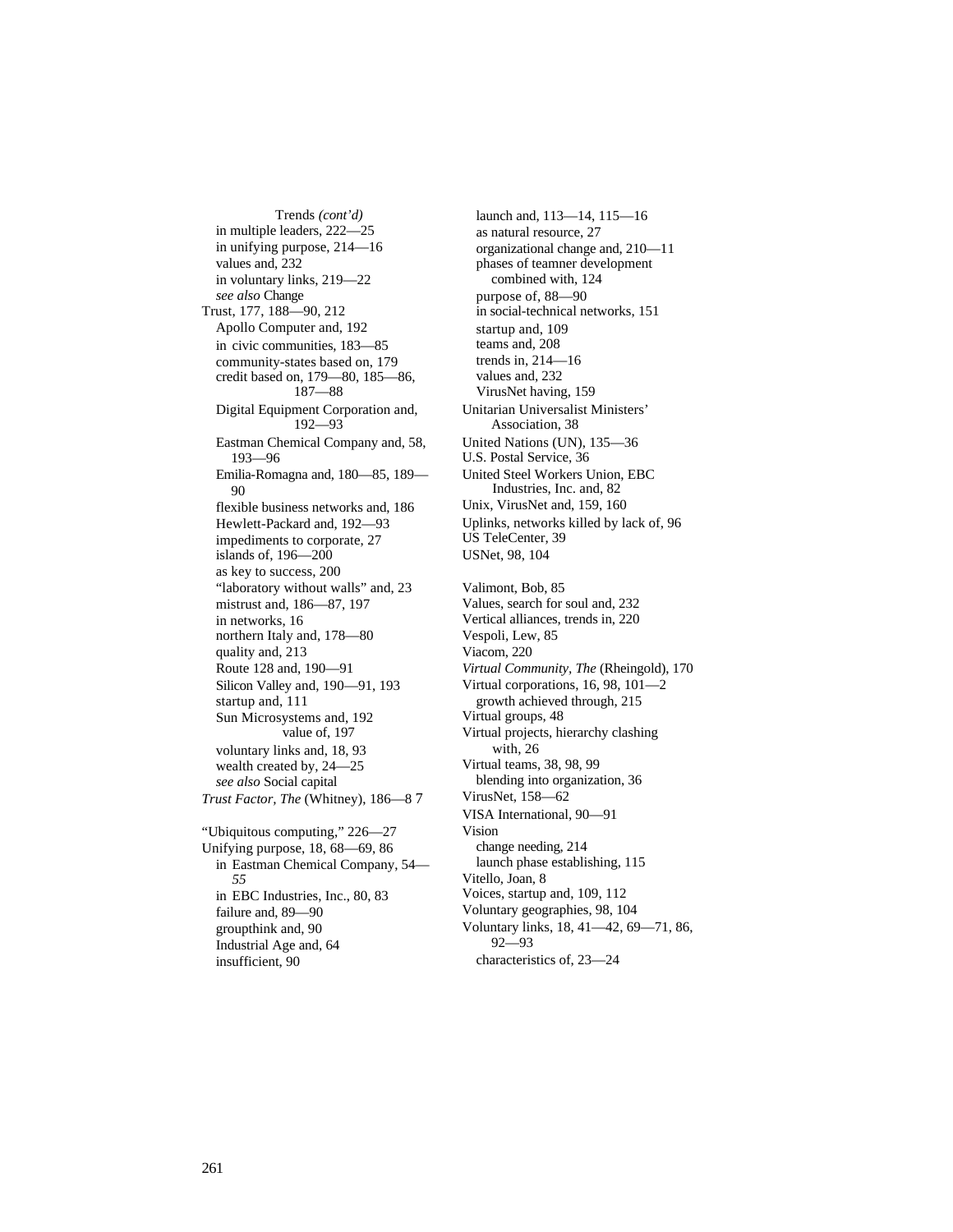Trends *(cont'd)* in multiple leaders, 222—25 in unifying purpose, 214—16 values and, 232 in voluntary links, 219—22 *see also* Change Trust, 177, 188—90, 212 Apollo Computer and, 192 in civic communities, 183—85 community-states based on, 179 credit based on, 179—80, 185—86, 187—88 Digital Equipment Corporation and, 192—93 Eastman Chemical Company and, 58, 193—96 Emilia-Romagna and, 180—85, 189— 90 flexible business networks and, 186 Hewlett-Packard and, 192—93 impediments to corporate, 27 islands of, 196—200 as key to success, 200 "laboratory without walls" and, 23 mistrust and, 186—87, 197 in networks, 16 northern Italy and, 178—80 quality and, 213 Route 128 and, 190—91 Silicon Valley and, 190—91, 193 startup and, 111 Sun Microsystems and, 192 value of, 197 voluntary links and, 18, 93 wealth created by, 24—25 *see also* Social capital *Trust Factor, The* (Whitney), 186—8 7 "Ubiquitous computing," 226—27 Unifying purpose, 18, 68—69, 86 in Eastman Chemical Company, 54— *55* in EBC Industries, Inc., 80, 83 failure and, 89—90 groupthink and, 90 Industrial Age and, 64

launch and, 113—14, 115—16 as natural resource, 27 organizational change and, 210—11 phases of teamner development combined with, 124 purpose of, 88—90 in social-technical networks, 151 startup and, 109 teams and, 208 trends in, 214—16 values and, 232 VirusNet having, 159 Unitarian Universalist Ministers' Association, 38 United Nations (UN), 135—36 U.S. Postal Service, 36 United Steel Workers Union, EBC Industries, Inc. and, 82 Unix, VirusNet and, 159, 160 Uplinks, networks killed by lack of, 96 US TeleCenter, 39 USNet, 98, 104 Valimont, Bob, 85 Values, search for soul and, 232 Vertical alliances, trends in, 220 Vespoli, Lew, 85 Viacom, 220 *Virtual Community, The* (Rheingold), 170 Virtual corporations, 16, 98, 101—2 growth achieved through, 215 Virtual groups, 48 Virtual projects, hierarchy clashing with, 26 Virtual teams, 38, 98, 99 blending into organization, 36 VirusNet, 158—62 VISA International, 90—91 Vision change needing, 214 launch phase establishing, 115 Vitello, Joan, 8 Voices, startup and, 109, 112 Voluntary geographies, 98, 104 Voluntary links, 18, 41—42, 69—71, 86, 92—93

characteristics of, 23—24

insufficient, 90